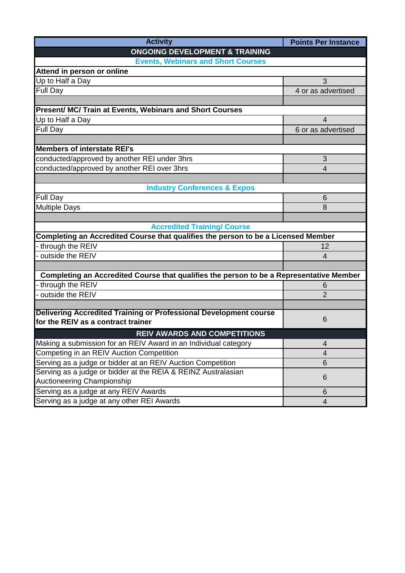| <b>Activity</b>                                                                         | <b>Points Per Instance</b> |  |
|-----------------------------------------------------------------------------------------|----------------------------|--|
| <b>ONGOING DEVELOPMENT &amp; TRAINING</b>                                               |                            |  |
| <b>Events, Webinars and Short Courses</b>                                               |                            |  |
| Attend in person or online                                                              |                            |  |
| Up to Half a Day                                                                        | 3                          |  |
| Full Day                                                                                | 4 or as advertised         |  |
|                                                                                         |                            |  |
| <b>Present/ MC/ Train at Events, Webinars and Short Courses</b>                         |                            |  |
| Up to Half a Day                                                                        | $\overline{4}$             |  |
| <b>Full Day</b>                                                                         | 6 or as advertised         |  |
|                                                                                         |                            |  |
| <b>Members of interstate REI's</b>                                                      |                            |  |
| conducted/approved by another REI under 3hrs                                            | 3                          |  |
| conducted/approved by another REI over 3hrs                                             | 4                          |  |
|                                                                                         |                            |  |
| <b>Industry Conferences &amp; Expos</b>                                                 |                            |  |
| <b>Full Day</b>                                                                         | 6                          |  |
| <b>Multiple Days</b>                                                                    | 8                          |  |
|                                                                                         |                            |  |
| <b>Accredited Training/ Course</b>                                                      |                            |  |
| Completing an Accredited Course that qualifies the person to be a Licensed Member       |                            |  |
| through the REIV                                                                        | 12                         |  |
| outside the REIV                                                                        | 4                          |  |
|                                                                                         |                            |  |
| Completing an Accredited Course that qualifies the person to be a Representative Member |                            |  |
| through the REIV                                                                        | 6                          |  |
| outside the REIV                                                                        | $\overline{2}$             |  |
|                                                                                         |                            |  |
| Delivering Accredited Training or Professional Development course                       | 6                          |  |
| for the REIV as a contract trainer                                                      |                            |  |
| <b>REIV AWARDS AND COMPETITIONS</b>                                                     |                            |  |
| Making a submission for an REIV Award in an Individual category                         | 4                          |  |
| Competing in an REIV Auction Competition                                                | $\overline{\mathbf{4}}$    |  |
| Serving as a judge or bidder at an REIV Auction Competition                             | 6                          |  |
| Serving as a judge or bidder at the REIA & REINZ Australasian                           | 6                          |  |
| <b>Auctioneering Championship</b>                                                       |                            |  |
| Serving as a judge at any REIV Awards                                                   | 6                          |  |
| Serving as a judge at any other REI Awards                                              | $\overline{\mathcal{L}}$   |  |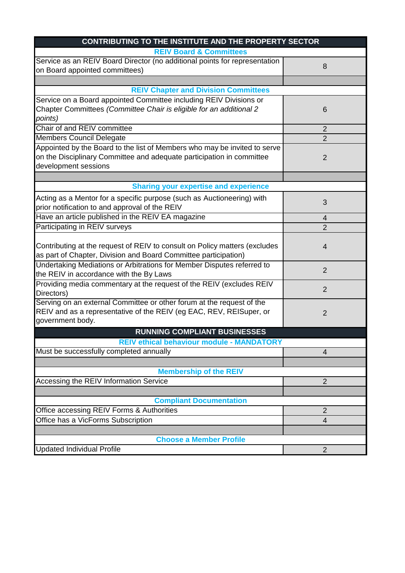| <b>CONTRIBUTING TO THE INSTITUTE AND THE PROPERTY SECTOR</b>               |                |  |
|----------------------------------------------------------------------------|----------------|--|
| <b>REIV Board &amp; Committees</b>                                         |                |  |
| Service as an REIV Board Director (no additional points for representation |                |  |
| on Board appointed committees)                                             | 8              |  |
|                                                                            |                |  |
| <b>REIV Chapter and Division Committees</b>                                |                |  |
| Service on a Board appointed Committee including REIV Divisions or         |                |  |
| Chapter Committees (Committee Chair is eligible for an additional 2        | 6              |  |
| points)                                                                    |                |  |
| Chair of and REIV committee                                                | $\overline{2}$ |  |
| <b>Members Council Delegate</b>                                            | $\overline{2}$ |  |
| Appointed by the Board to the list of Members who may be invited to serve  |                |  |
| on the Disciplinary Committee and adequate participation in committee      | $\overline{2}$ |  |
| development sessions                                                       |                |  |
|                                                                            |                |  |
| <b>Sharing your expertise and experience</b>                               |                |  |
| Acting as a Mentor for a specific purpose (such as Auctioneering) with     |                |  |
| prior notification to and approval of the REIV                             | 3              |  |
| Have an article published in the REIV EA magazine                          | $\overline{4}$ |  |
| Participating in REIV surveys                                              | $\overline{2}$ |  |
|                                                                            |                |  |
| Contributing at the request of REIV to consult on Policy matters (excludes | $\overline{4}$ |  |
| as part of Chapter, Division and Board Committee participation)            |                |  |
| Undertaking Mediations or Arbitrations for Member Disputes referred to     |                |  |
| the REIV in accordance with the By Laws                                    | $\overline{2}$ |  |
| Providing media commentary at the request of the REIV (excludes REIV       |                |  |
| Directors)                                                                 | $\overline{2}$ |  |
| Serving on an external Committee or other forum at the request of the      |                |  |
| REIV and as a representative of the REIV (eg EAC, REV, REISuper, or        | $\overline{2}$ |  |
| government body.                                                           |                |  |
| <b>RUNNING COMPLIANT BUSINESSES</b>                                        |                |  |
| <b>REIV ethical behaviour module - MANDATORY</b>                           |                |  |
| Must be successfully completed annually                                    | $\overline{4}$ |  |
|                                                                            |                |  |
| <b>Membership of the REIV</b>                                              |                |  |
| Accessing the REIV Information Service                                     | $\overline{2}$ |  |
|                                                                            |                |  |
| <b>Compliant Documentation</b>                                             |                |  |
| Office accessing REIV Forms & Authorities                                  | $\overline{2}$ |  |
| Office has a VicForms Subscription                                         | $\overline{4}$ |  |
|                                                                            |                |  |
| <b>Choose a Member Profile</b>                                             |                |  |
| <b>Updated Individual Profile</b>                                          | $\overline{2}$ |  |